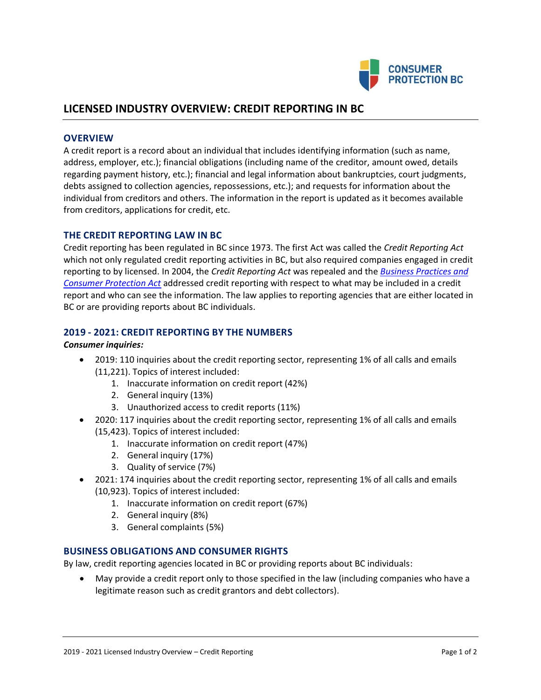

# **LICENSED INDUSTRY OVERVIEW: CREDIT REPORTING IN BC**

## **OVERVIEW**

A credit report is a record about an individual that includes identifying information (such as name, address, employer, etc.); financial obligations (including name of the creditor, amount owed, details regarding payment history, etc.); financial and legal information about bankruptcies, court judgments, debts assigned to collection agencies, repossessions, etc.); and requests for information about the individual from creditors and others. The information in the report is updated as it becomes available from creditors, applications for credit, etc.

# **THE CREDIT REPORTING LAW IN BC**

Credit reporting has been regulated in BC since 1973. The first Act was called the *Credit Reporting Act* which not only regulated credit reporting activities in BC, but also required companies engaged in credit reporting to by licensed. In 2004, the *Credit Reporting Act* was repealed and the *[Business Practices and](http://www.bclaws.ca/Recon/document/ID/freeside/04002_00)  [Consumer Protection Act](http://www.bclaws.ca/Recon/document/ID/freeside/04002_00)* addressed credit reporting with respect to what may be included in a credit report and who can see the information. The law applies to reporting agencies that are either located in BC or are providing reports about BC individuals.

## **2019 - 2021: CREDIT REPORTING BY THE NUMBERS**

#### *Consumer inquiries:*

- 2019: 110 inquiries about the credit reporting sector, representing 1% of all calls and emails (11,221). Topics of interest included:
	- 1. Inaccurate information on credit report (42%)
	- 2. General inquiry (13%)
	- 3. Unauthorized access to credit reports (11%)
- 2020: 117 inquiries about the credit reporting sector, representing 1% of all calls and emails (15,423). Topics of interest included:
	- 1. Inaccurate information on credit report (47%)
	- 2. General inquiry (17%)
	- 3. Quality of service (7%)
- 2021: 174 inquiries about the credit reporting sector, representing 1% of all calls and emails (10,923). Topics of interest included:
	- 1. Inaccurate information on credit report (67%)
	- 2. General inquiry (8%)
	- 3. General complaints (5%)

# **BUSINESS OBLIGATIONS AND CONSUMER RIGHTS**

By law, credit reporting agencies located in BC or providing reports about BC individuals:

• May provide a credit report only to those specified in the law (including companies who have a legitimate reason such as credit grantors and debt collectors).